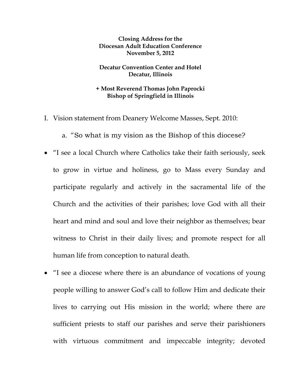**Closing Address for the Diocesan Adult Education Conference November 5, 2012** 

**Decatur Convention Center and Hotel Decatur, Illinois** 

**+ Most Reverend Thomas John Paprocki Bishop of Springfield in Illinois** 

- I. Vision statement from Deanery Welcome Masses, Sept. 2010:
	- a. "So what is my vision as the Bishop of this diocese?
- "I see a local Church where Catholics take their faith seriously, seek to grow in virtue and holiness, go to Mass every Sunday and participate regularly and actively in the sacramental life of the Church and the activities of their parishes; love God with all their heart and mind and soul and love their neighbor as themselves; bear witness to Christ in their daily lives; and promote respect for all human life from conception to natural death.
- "I see a diocese where there is an abundance of vocations of young people willing to answer God's call to follow Him and dedicate their lives to carrying out His mission in the world; where there are sufficient priests to staff our parishes and serve their parishioners with virtuous commitment and impeccable integrity; devoted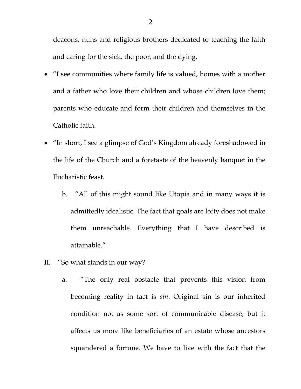deacons, nuns and religious brothers dedicated to teaching the faith and caring for the sick, the poor, and the dying.

- "I see communities where family life is valued, homes with a mother and a father who love their children and whose children love them; parents who educate and form their children and themselves in the Catholic faith.
- "In short, I see a glimpse of God's Kingdom already foreshadowed in the life of the Church and a foretaste of the heavenly banquet in the Eucharistic feast.
	- b. "All of this might sound like Utopia and in many ways it is admittedly idealistic. The fact that goals are lofty does not make them unreachable. Everything that I have described is attainable."
- II. "So what stands in our way?
	- a. "The only real obstacle that prevents this vision from becoming reality in fact is *sin*. Original sin is our inherited condition not as some sort of communicable disease, but it affects us more like beneficiaries of an estate whose ancestors squandered a fortune. We have to live with the fact that the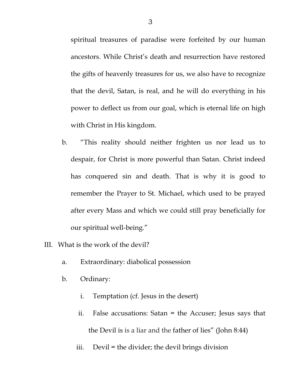spiritual treasures of paradise were forfeited by our human ancestors. While Christ's death and resurrection have restored the gifts of heavenly treasures for us, we also have to recognize that the devil, Satan, is real, and he will do everything in his power to deflect us from our goal, which is eternal life on high with Christ in His kingdom.

- b. "This reality should neither frighten us nor lead us to despair, for Christ is more powerful than Satan. Christ indeed has conquered sin and death. That is why it is good to remember the Prayer to St. Michael, which used to be prayed after every Mass and which we could still pray beneficially for our spiritual well-being."
- III. What is the work of the devil?
	- a. Extraordinary: diabolical possession
	- b. Ordinary:
		- i. Temptation (cf. Jesus in the desert)
		- ii. False accusations: Satan = the Accuser; Jesus says that the Devil is is a liar and the father of lies" (John 8:44)
		- iii. Devil = the divider; the devil brings division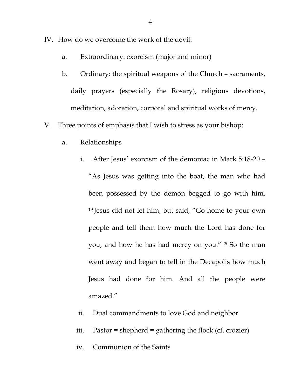- IV. How do we overcome the work of the devil:
	- a. Extraordinary: exorcism (major and minor)
	- b. Ordinary: the spiritual weapons of the Church sacraments, daily prayers (especially the Rosary), religious devotions, meditation, adoration, corporal and spiritual works of mercy.
- V. Three points of emphasis that I wish to stress as your bishop:
	- a. Relationships
		- i. After Jesus' exorcism of the demoniac in Mark 5:18-20 "As Jesus was getting into the boat, the man who had been possessed by the demon begged to go with him. 19 Jesus did not let him, but said, "Go home to your own people and tell them how much the Lord has done for you, and how he has had mercy on you." <sup>20</sup>So the man went away and began to tell in the Decapolis how much Jesus had done for him. And all the people were amazed."
		- ii. Dual commandments to love God and neighbor
		- iii. Pastor = shepherd = gathering the flock (cf. crozier)
		- iv. Communion of the Saints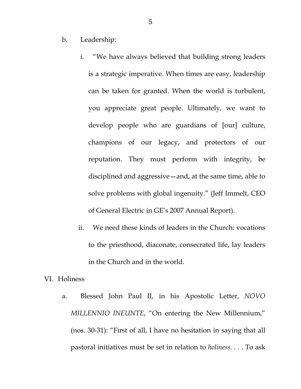b. Leadership:

- i. "We have always believed that building strong leaders is a strategic imperative. When times are easy, leadership can be taken for granted. When the world is turbulent, you appreciate great people. Ultimately, we want to develop people who are guardians of [our] culture, champions of our legacy, and protectors of our reputation. They must perform with integrity, be disciplined and aggressive—and, at the same time, able to solve problems with global ingenuity." (Jeff Immelt, CEO of General Electric in GE's 2007 Annual Report).
- ii. We need these kinds of leaders in the Church: vocations to the priesthood, diaconate, consecrated life, lay leaders in the Church and in the world.

## VI. Holiness

a. Blessed John Paul II, in his Apostolic Letter, *NOVO MILLENNIO INEUNTE*, "On entering the New Millennium," (nos. 30-31): "First of all, I have no hesitation in saying that all pastoral initiatives must be set in relation to *holiness*. . . . To ask